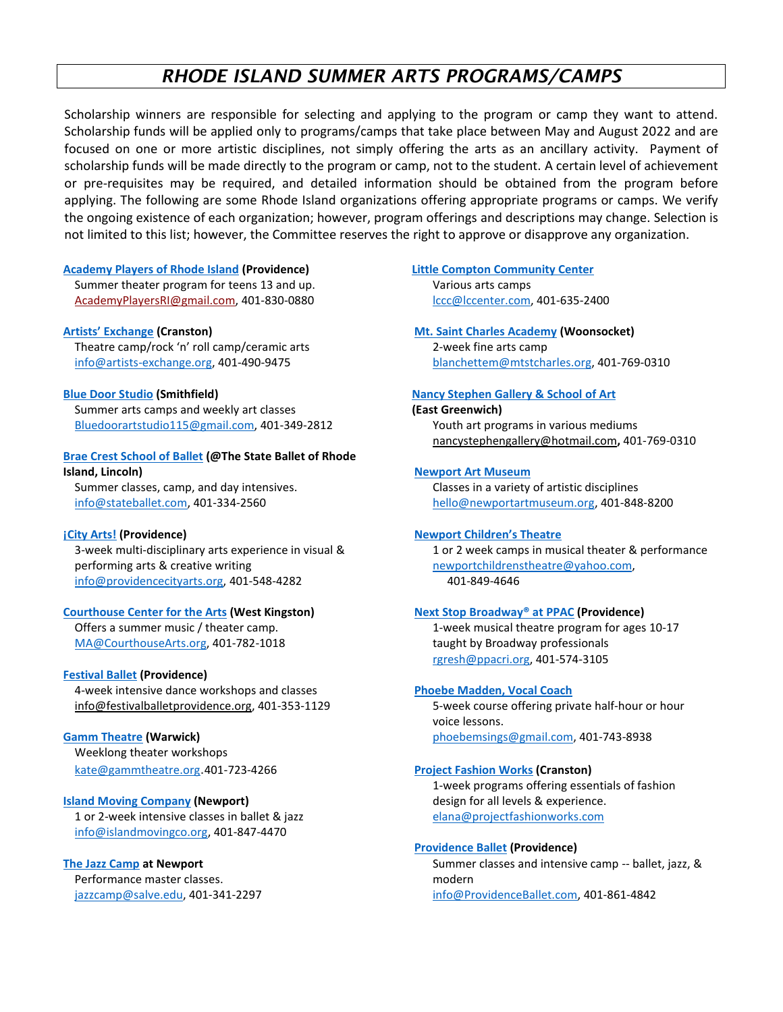# *RHODE ISLAND SUMMER ARTS PROGRAMS/CAMPS*

Scholarship winners are responsible for selecting and applying to the program or camp they want to attend. Scholarship funds will be applied only to programs/camps that take place between May and August 2022 and are focused on one or more artistic disciplines, not simply offering the arts as an ancillary activity. Payment of scholarship funds will be made directly to the program or camp, not to the student. A certain level of achievement or pre-requisites may be required, and detailed information should be obtained from the program before applying. The following are some Rhode Island organizations offering appropriate programs or camps. We verify the ongoing existence of each organization; however, program offerings and descriptions may change. Selection is not limited to this list; however, the Committee reserves the right to approve or disapprove any organization.

# **[Academy Players of Rhode Island](https://academyplayersri.org/) (Providence)**

Summer theater program for teens 13 and up. [AcademyPlayersRI@gmail.com,](mailto:AcademyPlayersRI@gmail.com) 401-830-0880

# **[Artists' Exchang](https://www.artists-exchange.org/)e (Cranston)**

Theatre camp/rock 'n' roll camp/ceramic arts [info@artists-exchange.org,](mailto:info@artists-exchange.org) 401-490-9475

# **[Blue Door Studio](https://bluedoorartstudio.com/) (Smithfield)**

Summer arts camps and weekly art classes [Bluedoorartstudio115@gmail.com,](mailto:Bluedoorartstudio115@gmail.com) 401-349-2812

# **[Brae Crest School of Ballet](https://www.stateballet.com/training/) (@The State Ballet of Rhode Island, Lincoln)**

Summer classes, camp, and day intensives. [info@stateballet.com,](mailto:info@stateballet.com) 401-334-2560

# **[¡City Arts!](https://www.providencecityarts.org/) (Providence)**

3-week multi-disciplinary arts experience in visual & performing arts & creative writing [info@providencecityarts.org,](mailto:info@providencecityarts.org) 401-548-4282

# **[Courthouse Center for the Arts](https://courthousearts.org/) (West Kingston)**

Offers a summer music / theater camp. [MA@CourthouseArts.org,](mailto:MA@CourthouseArts.org) 401-782-1018

# **[Festival Ballet](https://festivalballetprovidence.org/) (Providence)**

4-week intensive dance workshops and classes [info@festivalballetprovidence.org,](mailto:info@festivalballetprovidence.org) 401-353-1129

# **[Gamm Theatre](https://www.gammtheatre.org/education) (Warwick)**

Weeklong theater workshops [kate@gammtheatre.org](mailto:kate@gammtheatre.org).401-723-4266

# **[Island Moving Company](http://islandmovingco.org/) (Newport)**

1 or 2-week intensive classes in ballet & jazz [info@islandmovingco.org,](mailto:info@islandmovingco.org) 401-847-4470

# **[The Jazz Camp](https://salve.edu/jazz-camp) at Newport**

Performance master classes. [jazzcamp@salve.edu,](mailto:jazzcamp@salve.edu) 401-341-2297

# **[Little Compton Community Center](http://www.lccenter.com/programs/summer-camps/)**

Various arts camps [lccc@lccenter.com,](mailto:lccc@lccenter.com) 401-635-2400

# **Mt. [Saint Charles Academy](https://www.mountsaintcharles.org/) (Woonsocket)**

2-week fine arts camp [blanchettem@mtstcharles.org,](mailto:blanchettem@mtstcharles.org) 401-769-0310

# **[Nancy Stephen Gallery & School of Art](https://nancystephenartschool.com/)**

# **(East Greenwich)** Youth art programs in various mediums [nancystephengallery@hotmail.com](mailto:nancystephengallery@hotmail.com)**,** 401-769-0310

# **[Newport Art Museum](https://newportartmuseum.org/education/ourschool/)**

Classes in a variety of artistic disciplines [hello@newportartmuseum.org,](mailto:hello@newportartmuseum.org) 401-848-8200

# **[Newport Children's Theatre](http://newportchildrenstheatre.com/camps)**

1 or 2 week camps in musical theater & performance [newportchildrenstheatre@yahoo.com,](mailto:newportchildrenstheatre@yahoo.com) 401-849-4646

# **[Next Stop Broadway®](https://www.ppacri.org/outreach/next-stop-broadway) at PPAC (Providence)**

1-week musical theatre program for ages 10-17 taught by Broadway professionals [rgresh@ppacri.org,](mailto:rgresh@ppacri.org) 401-574-3105

# **[Phoebe Madden, Vocal Coach](http://www.phoebemadden.com/)**

5-week course offering private half-hour or hour voice lessons. [phoebemsings@gmail.com,](mailto:phoebemsings@gmail.com) 401-743-8938

# **[Project Fashion Works](https://projectfashionworks.com/) (Cranston)**

1-week programs offering essentials of fashion design for all levels & experience. [elana@projectfashionworks.com](mailto:elana@projectfashionworks.com)

# **[Providence Ballet](http://www.providenceballet.com/) (Providence)**

Summer classes and intensive camp -- ballet, jazz, & modern [info@ProvidenceBallet.com,](mailto:info@ProvidenceBallet.com) 401-861-4842